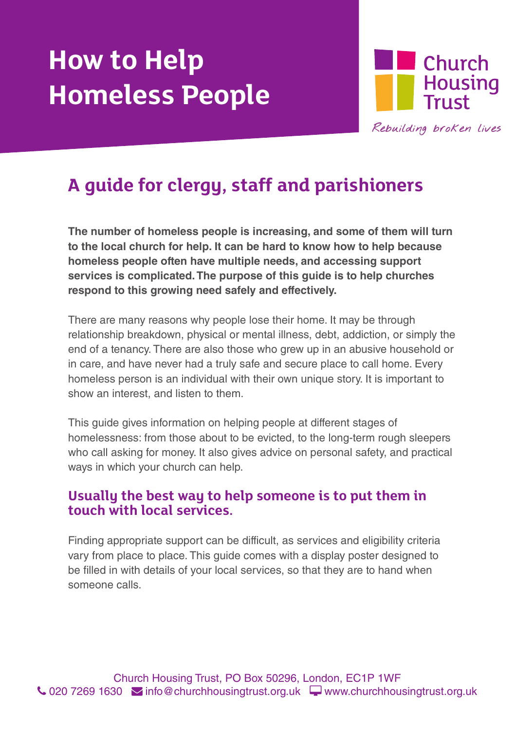# **How to Help Homeless People**



## **A guide for clergy, staff and parishioners**

**The number of homeless people is increasing, and some of them will turn to the local church for help. It can be hard to know how to help because homeless people often have multiple needs, and accessing support services is complicated. The purpose of this guide is to help churches respond to this growing need safely and effectively.**

There are many reasons why people lose their home. It may be through relationship breakdown, physical or mental illness, debt, addiction, or simply the end of a tenancy. There are also those who grew up in an abusive household or in care, and have never had a truly safe and secure place to call home. Every homeless person is an individual with their own unique story. It is important to show an interest, and listen to them.

This guide gives information on helping people at different stages of homelessness: from those about to be evicted, to the long-term rough sleepers who call asking for money. It also gives advice on personal safety, and practical ways in which your church can help.

#### **Usually the best way to help someone is to put them in touch with local services.**

Finding appropriate support can be difficult, as services and eligibility criteria vary from place to place. This guide comes with a display poster designed to be filled in with details of your local services, so that they are to hand when someone calls.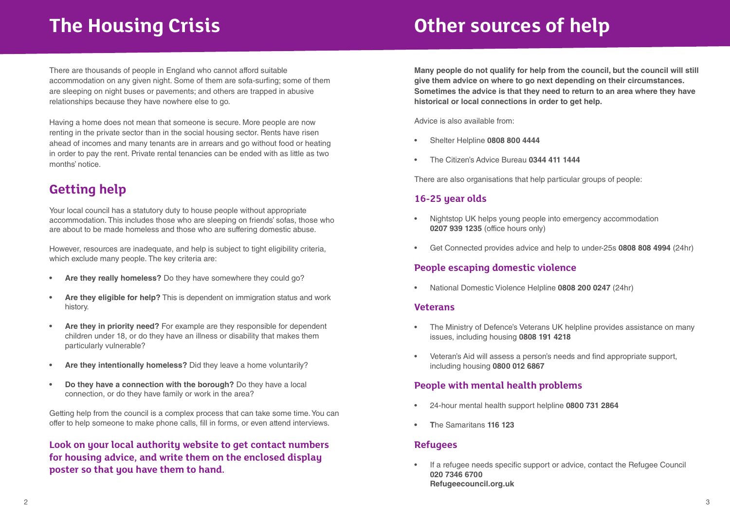# **The Housing Crisis**

# **Other sources of help**

There are thousands of people in England who cannot afford suitable accommodation on any given night. Some of them are sofa-surfing; some of them are sleeping on night buses or pavements; and others are trapped in abusive relationships because they have nowhere else to go.

Having a home does not mean that someone is secure. More people are now renting in the private sector than in the social housing sector. Rents have risen ahead of incomes and many tenants are in arrears and go without food or heating in order to pay the rent. Private rental tenancies can be ended with as little as two months' notice.

## **Getting help**

Your local council has a statutory duty to house people without appropriate accommodation. This includes those who are sleeping on friends' sofas, those who are about to be made homeless and those who are suffering domestic abuse.

However, resources are inadequate, and help is subject to tight eligibility criteria, which exclude many people. The key criteria are:

- **• Are they really homeless?** Do they have somewhere they could go?
- **• Are they eligible for help?** This is dependent on immigration status and work history.
- Are they in priority need? For example are they responsible for dependent children under 18, or do they have an illness or disability that makes them particularly vulnerable?
- **• Are they intentionally homeless?** Did they leave a home voluntarily?
- **• Do they have a connection with the borough?** Do they have a local connection, or do they have family or work in the area?

Getting help from the council is a complex process that can take some time. You can offer to help someone to make phone calls, fill in forms, or even attend interviews.

### **Look on your local authority website to get contact numbers for housing advice, and write them on the enclosed display poster so that you have them to hand.**

**Many people do not qualify for help from the council, but the council will still give them advice on where to go next depending on their circumstances. Sometimes the advice is that they need to return to an area where they have historical or local connections in order to get help.**

Advice is also available from:

- • Shelter Helpline **0808 800 4444**
- • The Citizen's Advice Bureau **0344 411 1444**

There are also organisations that help particular groups of people:

#### **16-25 year olds**

- Nightstop UK helps young people into emergency accommodation **0207 939 1235** (office hours only)
- • Get Connected provides advice and help to under-25s **0808 808 4994** (24hr)

### **People escaping domestic violence**

National Domestic Violence Helpline 0808 200 0247 (24hr)

#### **Veterans**

- • The Ministry of Defence's Veterans UK helpline provides assistance on many issues, including housing **0808 191 4218**
- • Veteran's Aid will assess a person's needs and find appropriate support, including housing **0800 012 6867**

### **People with mental health problems**

- • 24-hour mental health support helpline **0800 731 2864**
- **• T**he Samaritans **116 123**

#### **Refugees**

• If a refugee needs specific support or advice, contact the Refugee Council **020 7346 6700 Refugeecouncil.org.uk**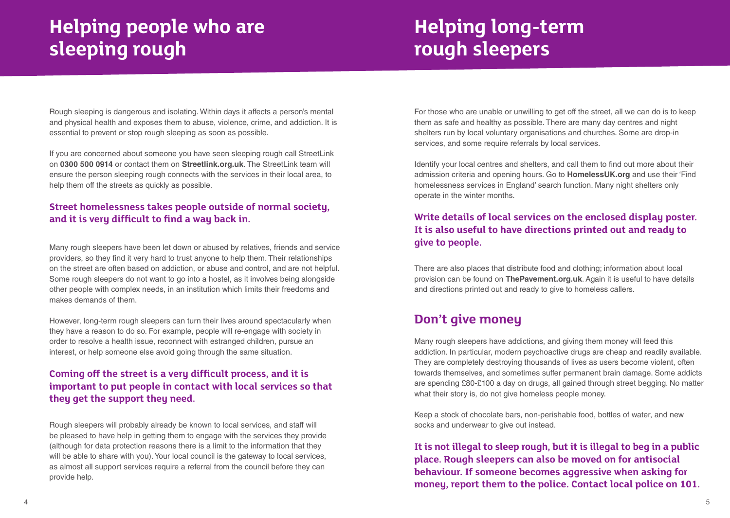# **Helping people who are sleeping rough**

## **Helping long-term rough sleepers**

Rough sleeping is dangerous and isolating. Within days it affects a person's mental and physical health and exposes them to abuse, violence, crime, and addiction. It is essential to prevent or stop rough sleeping as soon as possible.

If you are concerned about someone you have seen sleeping rough call StreetLink on **0300 500 0914** or contact them on **Streetlink.org.uk**. The StreetLink team will ensure the person sleeping rough connects with the services in their local area, to help them off the streets as quickly as possible.

### **Street homelessness takes people outside of normal society, and it is very difficult to find a way back in.**

Many rough sleepers have been let down or abused by relatives, friends and service providers, so they find it very hard to trust anyone to help them. Their relationships on the street are often based on addiction, or abuse and control, and are not helpful. Some rough sleepers do not want to go into a hostel, as it involves being alongside other people with complex needs, in an institution which limits their freedoms and makes demands of them.

However, long-term rough sleepers can turn their lives around spectacularly when they have a reason to do so. For example, people will re-engage with society in order to resolve a health issue, reconnect with estranged children, pursue an interest, or help someone else avoid going through the same situation.

### **Coming off the street is a very difficult process, and it is important to put people in contact with local services so that they get the support they need.**

Rough sleepers will probably already be known to local services, and staff will be pleased to have help in getting them to engage with the services they provide (although for data protection reasons there is a limit to the information that they will be able to share with you). Your local council is the gateway to local services, as almost all support services require a referral from the council before they can provide help.

For those who are unable or unwilling to get off the street, all we can do is to keep them as safe and healthy as possible. There are many day centres and night shelters run by local voluntary organisations and churches. Some are drop-in services, and some require referrals by local services.

Identify your local centres and shelters, and call them to find out more about their admission criteria and opening hours. Go to **HomelessUK.org** and use their 'Find homelessness services in England' search function. Many night shelters only operate in the winter months.

### **Write details of local services on the enclosed display poster. It is also useful to have directions printed out and ready to give to people.**

There are also places that distribute food and clothing; information about local provision can be found on **ThePavement.org.uk**. Again it is useful to have details and directions printed out and ready to give to homeless callers.

## **Don't give money**

Many rough sleepers have addictions, and giving them money will feed this addiction. In particular, modern psychoactive drugs are cheap and readily available. They are completely destroying thousands of lives as users become violent, often towards themselves, and sometimes suffer permanent brain damage. Some addicts are spending £80-£100 a day on drugs, all gained through street begging. No matter what their story is, do not give homeless people money.

Keep a stock of chocolate bars, non-perishable food, bottles of water, and new socks and underwear to give out instead.

**It is not illegal to sleep rough, but it is illegal to beg in a public place. Rough sleepers can also be moved on for antisocial behaviour. If someone becomes aggressive when asking for money, report them to the police. Contact local police on 101.**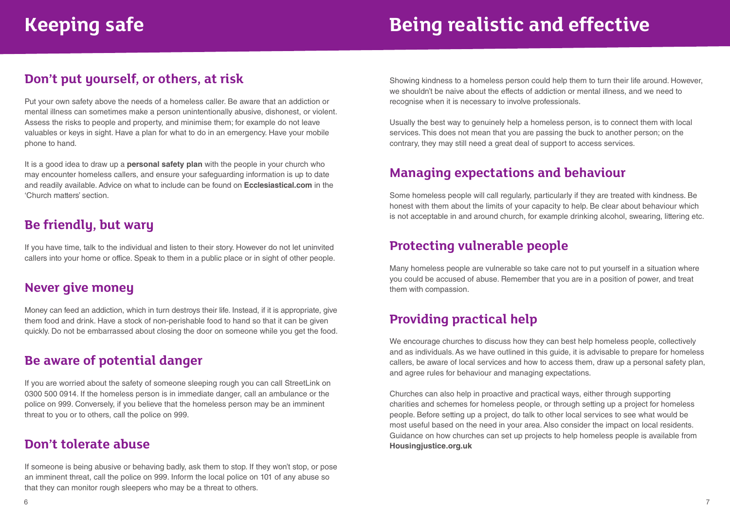# **Keeping safe Being realistic and effective**

## **Don't put yourself, or others, at risk**

Put your own safety above the needs of a homeless caller. Be aware that an addiction or mental illness can sometimes make a person unintentionally abusive, dishonest, or violent. Assess the risks to people and property, and minimise them; for example do not leave valuables or keys in sight. Have a plan for what to do in an emergency. Have your mobile phone to hand.

It is a good idea to draw up a **personal safety plan** with the people in your church who may encounter homeless callers, and ensure your safeguarding information is up to date and readily available. Advice on what to include can be found on **Ecclesiastical.com** in the 'Church matters' section.

## **Be friendly, but wary**

If you have time, talk to the individual and listen to their story. However do not let uninvited callers into your home or office. Speak to them in a public place or in sight of other people.

### **Never give money**

Money can feed an addiction, which in turn destroys their life. Instead, if it is appropriate, give them food and drink. Have a stock of non-perishable food to hand so that it can be given quickly. Do not be embarrassed about closing the door on someone while you get the food.

## **Be aware of potential danger**

If you are worried about the safety of someone sleeping rough you can call StreetLink on 0300 500 0914. If the homeless person is in immediate danger, call an ambulance or the police on 999. Conversely, if you believe that the homeless person may be an imminent threat to you or to others, call the police on 999.

## **Don't tolerate abuse**

If someone is being abusive or behaving badly, ask them to stop. If they won't stop, or pose an imminent threat, call the police on 999. Inform the local police on 101 of any abuse so that they can monitor rough sleepers who may be a threat to others.

Showing kindness to a homeless person could help them to turn their life around. However, we shouldn't be naive about the effects of addiction or mental illness, and we need to recognise when it is necessary to involve professionals.

Usually the best way to genuinely help a homeless person, is to connect them with local services. This does not mean that you are passing the buck to another person; on the contrary, they may still need a great deal of support to access services.

## **Managing expectations and behaviour**

Some homeless people will call regularly, particularly if they are treated with kindness. Be honest with them about the limits of your capacity to help. Be clear about behaviour which is not acceptable in and around church, for example drinking alcohol, swearing, littering etc.

## **Protecting vulnerable people**

Many homeless people are vulnerable so take care not to put yourself in a situation where you could be accused of abuse. Remember that you are in a position of power, and treat them with compassion.

## **Providing practical help**

We encourage churches to discuss how they can best help homeless people, collectively and as individuals. As we have outlined in this guide, it is advisable to prepare for homeless callers, be aware of local services and how to access them, draw up a personal safety plan, and agree rules for behaviour and managing expectations.

Churches can also help in proactive and practical ways, either through supporting charities and schemes for homeless people, or through setting up a project for homeless people. Before setting up a project, do talk to other local services to see what would be most useful based on the need in your area. Also consider the impact on local residents. Guidance on how churches can set up projects to help homeless people is available from **Housingjustice.org.uk**